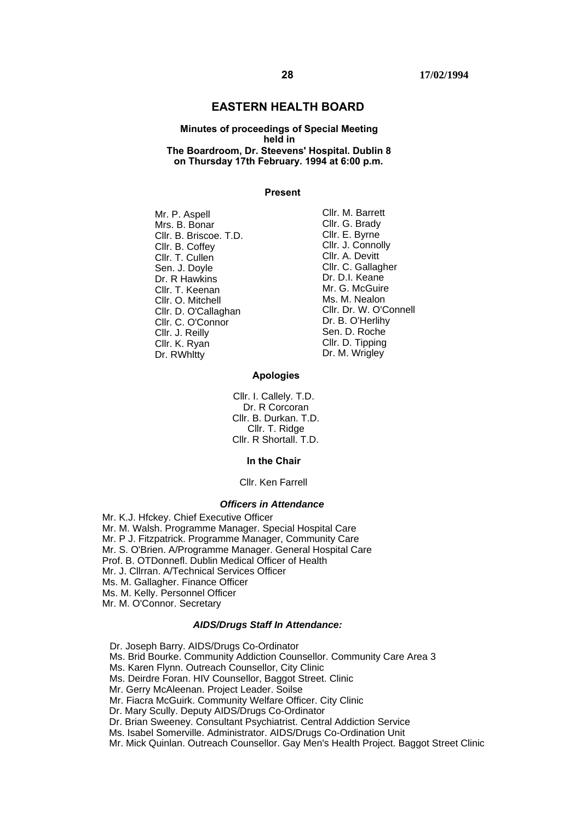### **EASTERN HEALTH BOARD**

#### **Minutes of proceedings of Special Meeting held in The Boardroom, Dr. Steevens' Hospital. Dublin 8 on Thursday 17th February. 1994 at 6:00 p.m.**

#### **Present**

- Mr. P. Aspell Mrs. B. Bonar Cllr. B. Briscoe. T.D. Cllr. B. Coffey Cllr. T. Cullen Sen. J. Doyle Dr. R Hawkins Cllr. T. Keenan Cllr. O. Mitchell Cllr. D. O'Callaghan Cllr. C. O'Connor Cllr. J. Reilly Cllr. K. Ryan Dr. RWhitty Dr. M. Wrigley
- Cllr. M. Barrett Cllr. G. Brady Cllr. E. Byrne Cllr. J. Connolly Cllr. A. Devitt Cllr. C. Gallagher Dr. D.I. Keane Mr. G. McGuire Ms. M. Nealon Cllr. Dr. W. O'Connell Dr. B. O'Herlihy Sen. D. Roche Cllr. D. Tipping

#### **Apologies**

Cllr. I. Callely. T.D. Dr. R Corcoran Cllr. B. Durkan. T.D. Cllr. T. Ridge Cllr. R Shortall. T.D.

#### **In the Chair**

#### Cllr. Ken Farrell

#### *Officers in Attendance*

Mr. K.J. Hfckey. Chief Executive Officer Mr. M. Walsh. Programme Manager. Special Hospital Care Mr. P J. Fitzpatrick. Programme Manager, Community Care Mr. S. O'Brien. A/Programme Manager. General Hospital Care Prof. B. OTDonnefl. Dublin Medical Officer of Health Mr. J. Cllrran. A/Technical Services Officer Ms. M. Gallagher. Finance Officer Ms. M. Kelly. Personnel Officer Mr. M. O'Connor. Secretary

#### *AIDS/Drugs Staff In Attendance:*

Dr. Joseph Barry. AIDS/Drugs Co-Ordinator Ms. Brid Bourke. Community Addiction Counsellor. Community Care Area 3 Ms. Karen Flynn. Outreach Counsellor, City Clinic Ms. Deirdre Foran. HIV Counsellor, Baggot Street. Clinic Mr. Gerry McAleenan. Project Leader. Soilse Mr. Fiacra McGuirk. Community Welfare Officer. City Clinic Dr. Mary Scully. Deputy AIDS/Drugs Co-Ordinator Dr. Brian Sweeney. Consultant Psychiatrist. Central Addiction Service Ms. Isabel Somerville. Administrator. AIDS/Drugs Co-Ordination Unit

Mr. Mick Quinlan. Outreach Counsellor. Gay Men's Health Project. Baggot Street Clinic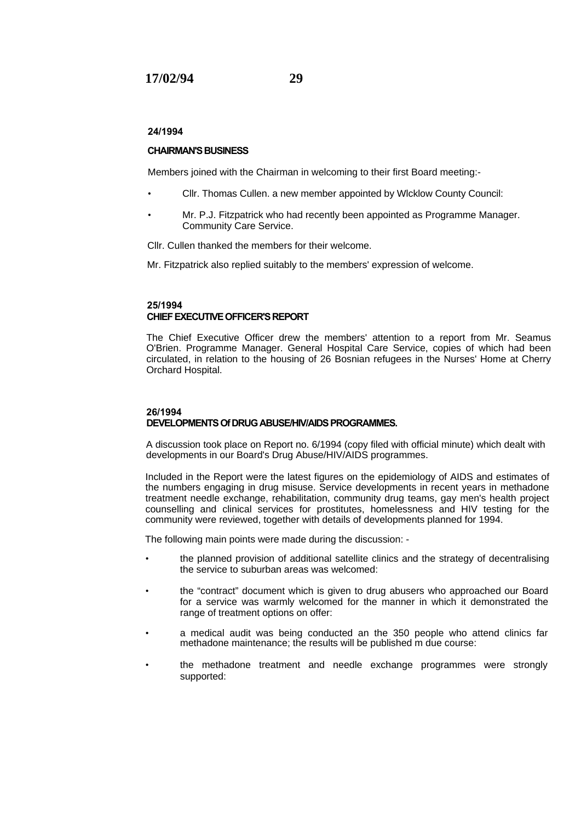#### **24/1994**

#### **CHAIRMAN'S BUSINESS**

Members joined with the Chairman in welcoming to their first Board meeting:-

- Cllr. Thomas Cullen. a new member appointed by Wlcklow County Council:
- Mr. P.J. Fitzpatrick who had recently been appointed as Programme Manager. Community Care Service.

Cllr. Cullen thanked the members for their welcome.

Mr. Fitzpatrick also replied suitably to the members' expression of welcome.

### **25/1994 CHIEF EXECUTIVE OFFICER'S REPORT**

The Chief Executive Officer drew the members' attention to a report from Mr. Seamus O'Brien. Programme Manager. General Hospital Care Service, copies of which had been circulated, in relation to the housing of 26 Bosnian refugees in the Nurses' Home at Cherry Orchard Hospital.

### **26/1994 DEVELOPMENTS Of DRUG ABUSE/HIV/AIDS PROGRAMMES.**

A discussion took place on Report no. 6/1994 (copy filed with official minute) which dealt with developments in our Board's Drug Abuse/HIV/AIDS programmes.

Included in the Report were the latest figures on the epidemiology of AIDS and estimates of the numbers engaging in drug misuse. Service developments in recent years in methadone treatment needle exchange, rehabilitation, community drug teams, gay men's health project counselling and clinical services for prostitutes, homelessness and HIV testing for the community were reviewed, together with details of developments planned for 1994.

The following main points were made during the discussion: -

- the planned provision of additional satellite clinics and the strategy of decentralising the service to suburban areas was welcomed:
- the "contract" document which is given to drug abusers who approached our Board for a service was warmly welcomed for the manner in which it demonstrated the range of treatment options on offer:
- a medical audit was being conducted an the 350 people who attend clinics far methadone maintenance; the results will be published m due course:
- the methadone treatment and needle exchange programmes were strongly supported: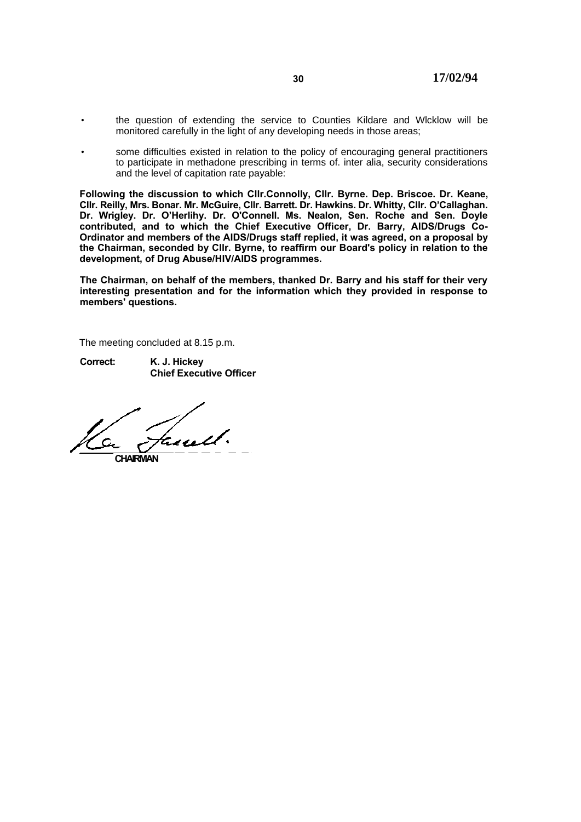- the question of extending the service to Counties Kildare and Wlcklow will be monitored carefully in the light of any developing needs in those areas;
- some difficulties existed in relation to the policy of encouraging general practitioners to participate in methadone prescribing in terms of. inter alia, security considerations and the level of capitation rate payable:

**Following the discussion to which Cllr.Connolly, Cllr. Byrne. Dep. Briscoe. Dr. Keane, Cllr. Reilly, Mrs. Bonar. Mr. McGuire, Cllr. Barrett. Dr. Hawkins. Dr. Whitty, Cllr. O'Callaghan. Dr. Wrigley. Dr. O'Herlihy. Dr. O'Connell. Ms. Nealon, Sen. Roche and Sen. Doyle contributed, and to which the Chief Executive Officer, Dr. Barry, AIDS/Drugs Co-Ordinator and members of the AIDS/Drugs staff replied, it was agreed, on a proposal by the Chairman, seconded by Cllr. Byrne, to reaffirm our Board's policy in relation to the development, of Drug Abuse/HIV/AIDS programmes.**

**The Chairman, on behalf of the members, thanked Dr. Barry and his staff for their very interesting presentation and for the information which they provided in response to members' questions.**

The meeting concluded at 8.15 p.m.

**Correct: K. J. Hickey Chief Executive Officer**

**CHAIRMAN**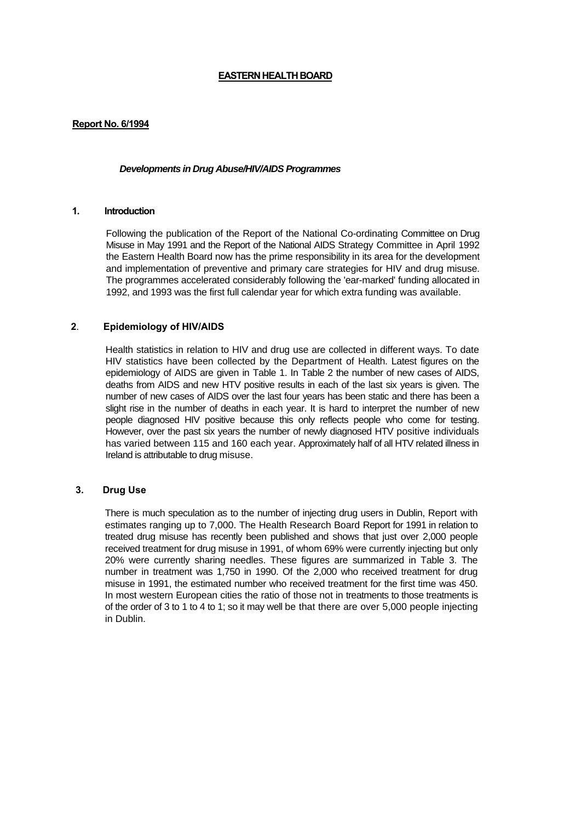## **EASTERN HEALTH BOARD**

## **Report No. 6/1994**

### *Developments in Drug Abuse/HIV/AIDS Programmes*

## **1. Introduction**

Following the publication of the Report of the National Co-ordinating Committee on Drug Misuse in May 1991 and the Report of the National AIDS Strategy Committee in April 1992 the Eastern Health Board now has the prime responsibility in its area for the development and implementation of preventive and primary care strategies for HIV and drug misuse. The programmes accelerated considerably following the 'ear-marked' funding allocated in 1992, and 1993 was the first full calendar year for which extra funding was available.

## **2**. **Epidemiology of HIV/AIDS**

Health statistics in relation to HIV and drug use are collected in different ways. To date HIV statistics have been collected by the Department of Health. Latest figures on the epidemiology of AIDS are given in Table 1. In Table 2 the number of new cases of AIDS, deaths from AIDS and new HTV positive results in each of the last six years is given. The number of new cases of AIDS over the last four years has been static and there has been a slight rise in the number of deaths in each year. It is hard to interpret the number of new people diagnosed HIV positive because this only reflects people who come for testing. However, over the past six years the number of newly diagnosed HTV positive individuals has varied between 115 and 160 each year. Approximately half of all HTV related illness in Ireland is attributable to drug misuse.

### **3. Drug Use**

There is much speculation as to the number of injecting drug users in Dublin, Report with estimates ranging up to 7,000. The Health Research Board Report for 1991 in relation to treated drug misuse has recently been published and shows that just over 2,000 people received treatment for drug misuse in 1991, of whom 69% were currently injecting but only 20% were currently sharing needles. These figures are summarized in Table 3. The number in treatment was 1,750 in 1990. Of the 2,000 who received treatment for drug misuse in 1991, the estimated number who received treatment for the first time was 450. In most western European cities the ratio of those not in treatments to those treatments is of the order of 3 to 1 to 4 to 1; so it may well be that there are over 5,000 people injecting in Dublin.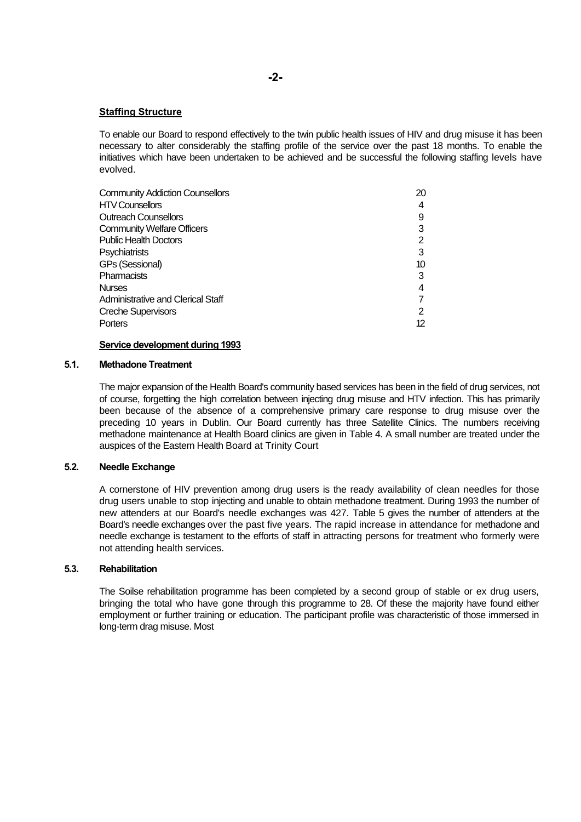### **Staffing Structure**

To enable our Board to respond effectively to the twin public health issues of HIV and drug misuse it has been necessary to alter considerably the staffing profile of the service over the past 18 months. To enable the initiatives which have been undertaken to be achieved and be successful the following staffing levels have evolved.

| <b>Community Addiction Counsellors</b> | 20 |
|----------------------------------------|----|
| <b>HTV Counsellors</b>                 | 4  |
| <b>Outreach Counsellors</b>            | 9  |
| <b>Community Welfare Officers</b>      |    |
| <b>Public Health Doctors</b>           | 2  |
| <b>Psychiatrists</b>                   | 3  |
| <b>GPs (Sessional)</b>                 | 10 |
| Pharmacists                            | 3  |
| <b>Nurses</b>                          | 4  |
| Administrative and Clerical Staff      |    |
| Creche Supervisors                     | 2  |
| Porters                                | 12 |

#### **Service development during 1993**

#### **5.1. Methadone Treatment**

The major expansion of the Health Board's community based services has been in the field of drug services, not of course, forgetting the high correlation between injecting drug misuse and HTV infection. This has primarily been because of the absence of a comprehensive primary care response to drug misuse over the preceding 10 years in Dublin. Our Board currently has three Satellite Clinics. The numbers receiving methadone maintenance at Health Board clinics are given in Table 4. A small number are treated under the auspices of the Eastern Health Board at Trinity Court

### **5.2. Needle Exchange**

A cornerstone of HIV prevention among drug users is the ready availability of clean needles for those drug users unable to stop injecting and unable to obtain methadone treatment. During 1993 the number of new attenders at our Board's needle exchanges was 427. Table 5 gives the number of attenders at the Board's needle exchanges over the past five years. The rapid increase in attendance for methadone and needle exchange is testament to the efforts of staff in attracting persons for treatment who formerly were not attending health services.

### **5.3. Rehabilitation**

The Soilse rehabilitation programme has been completed by a second group of stable or ex drug users, bringing the total who have gone through this programme to 28. Of these the majority have found either employment or further training or education. The participant profile was characteristic of those immersed in long-term drag misuse. Most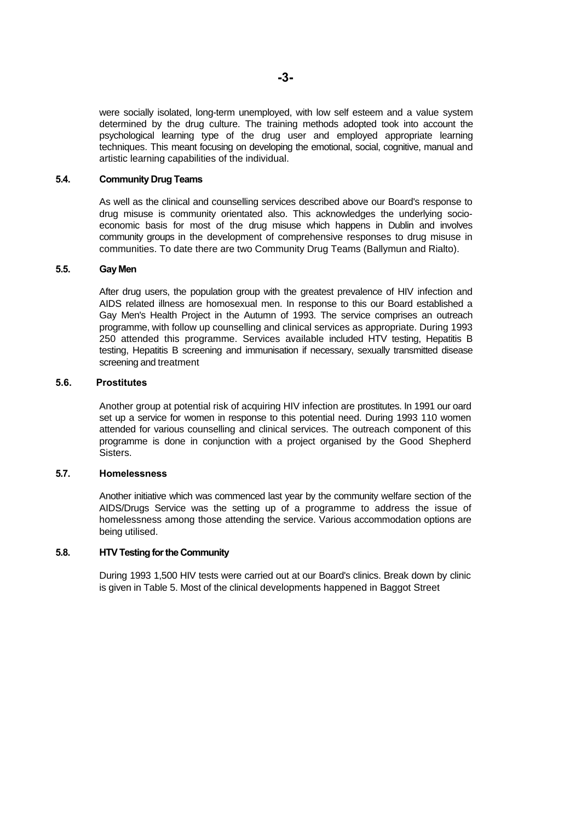were socially isolated, long-term unemployed, with low self esteem and a value system determined by the drug culture. The training methods adopted took into account the psychological learning type of the drug user and employed appropriate learning techniques. This meant focusing on developing the emotional, social, cognitive, manual and artistic learning capabilities of the individual.

## **5.4. Community Drug Teams**

As well as the clinical and counselling services described above our Board's response to drug misuse is community orientated also. This acknowledges the underlying socioeconomic basis for most of the drug misuse which happens in Dublin and involves community groups in the development of comprehensive responses to drug misuse in communities. To date there are two Community Drug Teams (Ballymun and Rialto).

#### **5.5. Gay Men**

After drug users, the population group with the greatest prevalence of HIV infection and AIDS related illness are homosexual men. In response to this our Board established a Gay Men's Health Project in the Autumn of 1993. The service comprises an outreach programme, with follow up counselling and clinical services as appropriate. During 1993 250 attended this programme. Services available included HTV testing, Hepatitis B testing, Hepatitis B screening and immunisation if necessary, sexually transmitted disease screening and treatment

#### **5.6. Prostitutes**

Another group at potential risk of acquiring HIV infection are prostitutes. In 1991 our oard set up a service for women in response to this potential need. During 1993 110 women attended for various counselling and clinical services. The outreach component of this programme is done in conjunction with a project organised by the Good Shepherd Sisters.

#### **5.7. Homelessness**

Another initiative which was commenced last year by the community welfare section of the AIDS/Drugs Service was the setting up of a programme to address the issue of homelessness among those attending the service. Various accommodation options are being utilised.

## **5.8. HTV Testing for the Community**

During 1993 1,500 HIV tests were carried out at our Board's clinics. Break down by clinic is given in Table 5. Most of the clinical developments happened in Baggot Street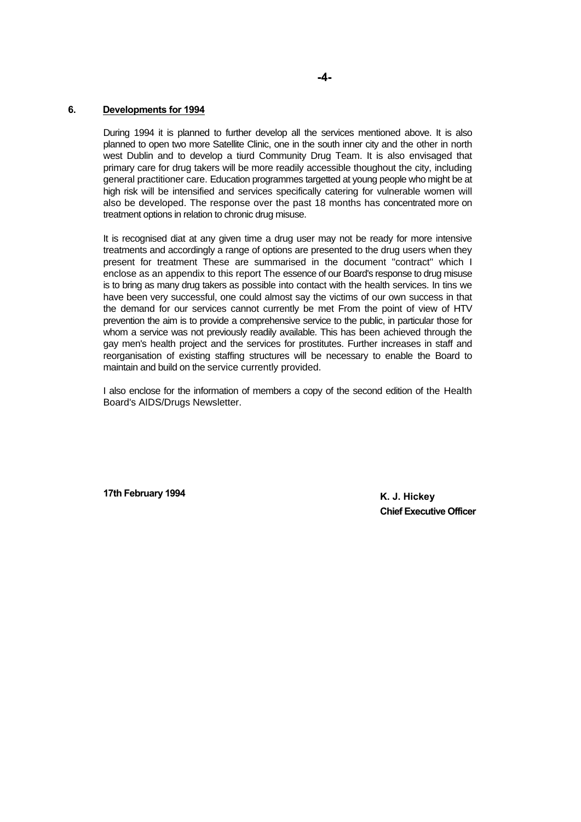## **-4-**

### **6. Developments for 1994**

During 1994 it is planned to further develop all the services mentioned above. It is also planned to open two more Satellite Clinic, one in the south inner city and the other in north west Dublin and to develop a tiurd Community Drug Team. It is also envisaged that primary care for drug takers will be more readily accessible thoughout the city, including general practitioner care. Education programmes targetted at young people who might be at high risk will be intensified and services specifically catering for vulnerable women will also be developed. The response over the past 18 months has concentrated more on treatment options in relation to chronic drug misuse.

It is recognised diat at any given time a drug user may not be ready for more intensive treatments and accordingly a range of options are presented to the drug users when they present for treatment These are summarised in the document "contract" which I enclose as an appendix to this report The essence of our Board's response to drug misuse is to bring as many drug takers as possible into contact with the health services. In tins we have been very successful, one could almost say the victims of our own success in that the demand for our services cannot currently be met From the point of view of HTV prevention the aim is to provide a comprehensive service to the public, in particular those for whom a service was not previously readily available. This has been achieved through the gay men's health project and the services for prostitutes. Further increases in staff and reorganisation of existing staffing structures will be necessary to enable the Board to maintain and build on the service currently provided.

I also enclose for the information of members a copy of the second edition of the Health Board's AIDS/Drugs Newsletter.

**17th February 1994 K. J. Hickey** 

**Chief Executive Officer**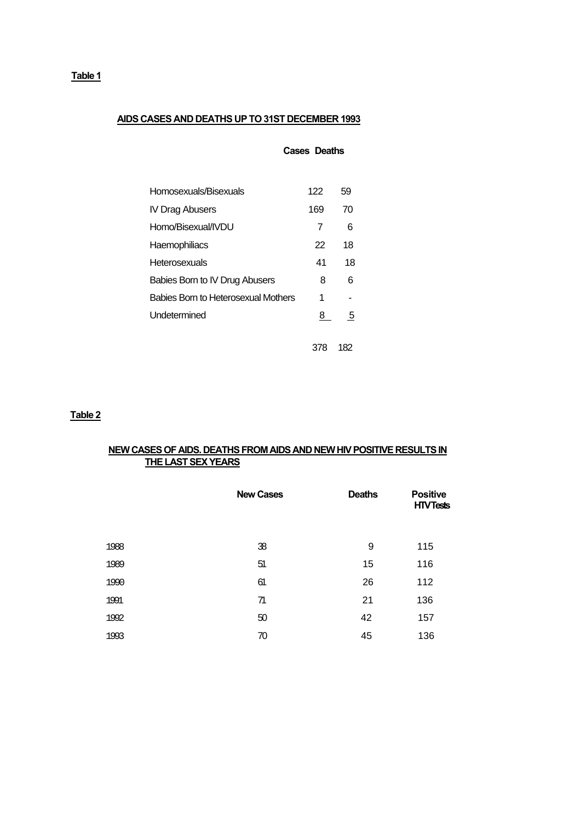# **AIDS CASES AND DEATHS UP TO 31ST DECEMBER 1993**

| Homosexuals/Bisexuals               | 122 | 59 |
|-------------------------------------|-----|----|
| IV Drag Abusers                     | 169 | 70 |
| Homo/Bisexual/IVDU                  | 7   | 6  |
| Haemophiliacs                       | 22  | 18 |
| Heterosexuals                       | 41  | 18 |
| Babies Born to IV Drug Abusers      | 8   | 6  |
| Babies Born to Heterosexual Mothers | 1   |    |
| Undetermined                        | 8   | 5  |
|                                     |     |    |

 **Cases Deaths**

378 182

**Table 2**

## **NEW CASES OF AIDS. DEATHS FROM AIDS AND NEW HIV POSITIVE RESULTS IN THE LAST SEX YEARS**

|      | <b>New Cases</b> | <b>Deaths</b> | <b>Positive</b><br><b>HTVTests</b> |
|------|------------------|---------------|------------------------------------|
| 1988 | 38               | 9             | 115                                |
| 1989 | 51               | 15            | 116                                |
| 1990 | 61               | 26            | 112                                |
| 1991 | 71               | 21            | 136                                |
| 1992 | 50               | 42            | 157                                |
| 1993 | 70               | 45            | 136                                |

**Table 1**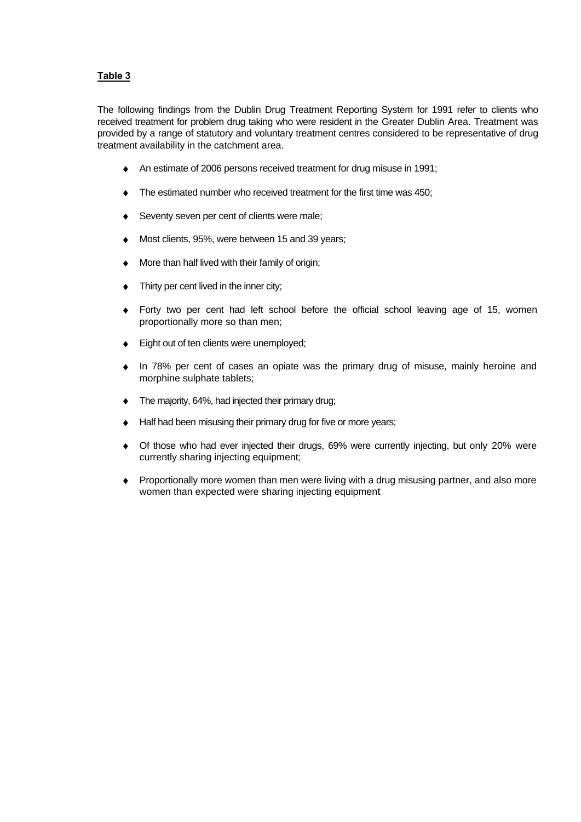## **Table 3**

The following findings from the Dublin Drug Treatment Reporting System for 1991 refer to clients who received treatment for problem drug taking who were resident in the Greater Dublin Area. Treatment was provided by a range of statutory and voluntary treatment centres considered to be representative of drug treatment availability in the catchment area.

- ♦ An estimate of 2006 persons received treatment for drug misuse in 1991;
- The estimated number who received treatment for the first time was 450;
- Seventy seven per cent of clients were male;
- Most clients, 95%, were between 15 and 39 years;
- ♦ More than half lived with their family of origin;
- Thirty per cent lived in the inner city;
- ♦ Forty two per cent had left school before the official school leaving age of 15, women proportionally more so than men;
- Eight out of ten clients were unemployed;
- In 78% per cent of cases an opiate was the primary drug of misuse, mainly heroine and morphine sulphate tablets;
- The majority, 64%, had injected their primary drug;
- Half had been misusing their primary drug for five or more years;
- Of those who had ever injected their drugs, 69% were currently injecting, but only 20% were currently sharing injecting equipment;
- Proportionally more women than men were living with a drug misusing partner, and also more women than expected were sharing injecting equipment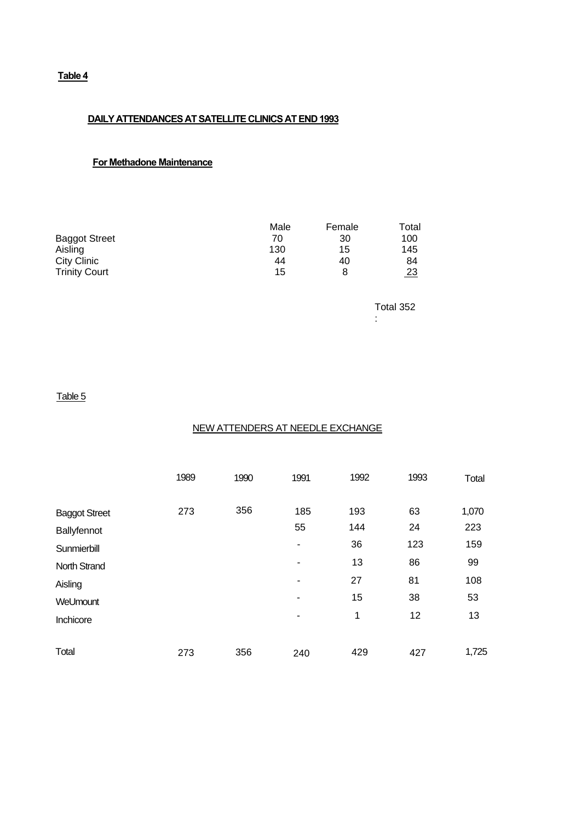## **Table 4**

## **DAILY ATTENDANCES AT SATELLITE CLINICS AT END 1993**

## **For Methadone Maintenance**

|                      | Male | Female | Total     |
|----------------------|------|--------|-----------|
| <b>Baggot Street</b> | 70   | 30     | 100       |
| Aisling              | 130  | 15     | 145       |
| City Clinic          | 44   | 40     | 84        |
| <b>Trinity Court</b> | 15   | 8      | <u>23</u> |

Total 352 :

## Table 5

## NEW ATTENDERS AT NEEDLE EXCHANGE

|                                     | 1989 | 1990 | 1991      | 1992       | 1993     | Total        |
|-------------------------------------|------|------|-----------|------------|----------|--------------|
| <b>Baggot Street</b><br>Ballyfennot | 273  | 356  | 185<br>55 | 193<br>144 | 63<br>24 | 1,070<br>223 |
| Sunmierbill                         |      |      | ۰         | 36         | 123      | 159          |
| <b>North Strand</b>                 |      |      | ۰         | 13         | 86       | 99           |
| Aisling                             |      |      | ۰         | 27         | 81       | 108          |
| WeUmount                            |      |      | ۰         | 15         | 38       | 53           |
| Inchicore                           |      |      | ۰         | 1          | 12       | 13           |
| Total                               | 273  | 356  | 240       | 429        | 427      | 1,725        |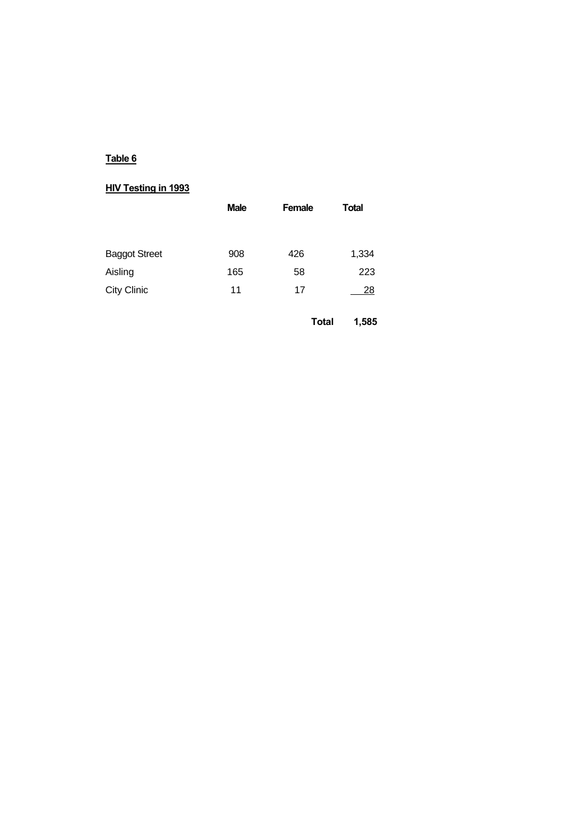# **Table 6**

# **HIV Testing in 1993**

| <b>Male</b> | <b>Female</b> | <b>Total</b> |  |
|-------------|---------------|--------------|--|
|             |               |              |  |
| 908         | 426           | 1,334        |  |
| 165         | 58            | 223          |  |
| 11          | 17            | 28           |  |
|             |               |              |  |

 **Total 1,585**